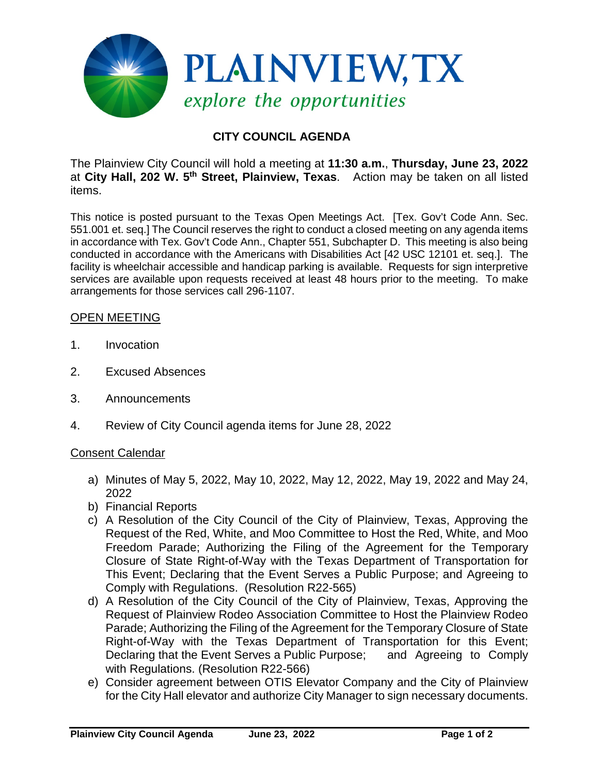

## **CITY COUNCIL AGENDA**

The Plainview City Council will hold a meeting at **11:30 a.m.**, **Thursday, June 23, 2022** at **City Hall, 202 W. 5th Street, Plainview, Texas**. Action may be taken on all listed items.

This notice is posted pursuant to the Texas Open Meetings Act. [Tex. Gov't Code Ann. Sec. 551.001 et. seq.] The Council reserves the right to conduct a closed meeting on any agenda items in accordance with Tex. Gov't Code Ann., Chapter 551, Subchapter D. This meeting is also being conducted in accordance with the Americans with Disabilities Act [42 USC 12101 et. seq.]. The facility is wheelchair accessible and handicap parking is available. Requests for sign interpretive services are available upon requests received at least 48 hours prior to the meeting. To make arrangements for those services call 296-1107.

## OPEN MEETING

- 1. Invocation
- 2. Excused Absences
- 3. Announcements
- 4. Review of City Council agenda items for June 28, 2022

## Consent Calendar

- a) Minutes of May 5, 2022, May 10, 2022, May 12, 2022, May 19, 2022 and May 24, 2022
- b) Financial Reports
- c) A Resolution of the City Council of the City of Plainview, Texas, Approving the Request of the Red, White, and Moo Committee to Host the Red, White, and Moo Freedom Parade; Authorizing the Filing of the Agreement for the Temporary Closure of State Right-of-Way with the Texas Department of Transportation for This Event; Declaring that the Event Serves a Public Purpose; and Agreeing to Comply with Regulations. (Resolution R22-565)
- d) A Resolution of the City Council of the City of Plainview, Texas, Approving the Request of Plainview Rodeo Association Committee to Host the Plainview Rodeo Parade; Authorizing the Filing of the Agreement for the Temporary Closure of State Right-of-Way with the Texas Department of Transportation for this Event; Declaring that the Event Serves a Public Purpose; and Agreeing to Comply with Regulations. (Resolution R22-566)
- e) Consider agreement between OTIS Elevator Company and the City of Plainview for the City Hall elevator and authorize City Manager to sign necessary documents.